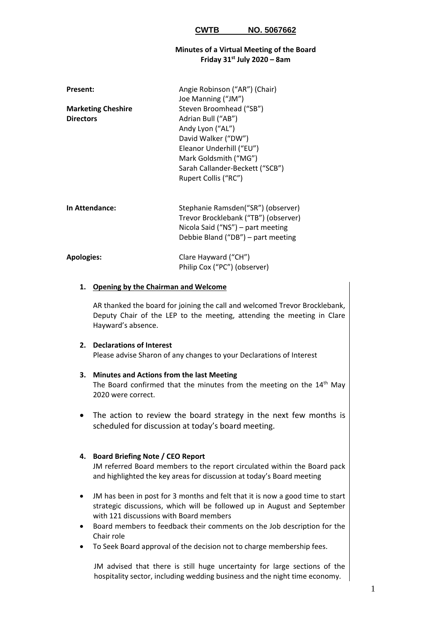#### **Minutes of a Virtual Meeting of the Board Friday 31st July 2020 – 8am**

| <b>Present:</b>                               | Angie Robinson ("AR") (Chair)<br>Joe Manning ("JM")                                                                                                                                                      |
|-----------------------------------------------|----------------------------------------------------------------------------------------------------------------------------------------------------------------------------------------------------------|
| <b>Marketing Cheshire</b><br><b>Directors</b> | Steven Broomhead ("SB")<br>Adrian Bull ("AB")<br>Andy Lyon ("AL")<br>David Walker ("DW")<br>Eleanor Underhill ("EU")<br>Mark Goldsmith ("MG")<br>Sarah Callander-Beckett ("SCB")<br>Rupert Collis ("RC") |
| In Attendance:                                | Stephanie Ramsden("SR") (observer)<br>Trevor Brocklebank ("TB") (observer)<br>Nicola Said ("NS") – part meeting<br>Debbie Bland ("DB") – part meeting                                                    |
| <b>Apologies:</b>                             | Clare Hayward ("CH")<br>Philip Cox ("PC") (observer)                                                                                                                                                     |

#### **1. Opening by the Chairman and Welcome**

AR thanked the board for joining the call and welcomed Trevor Brocklebank, Deputy Chair of the LEP to the meeting, attending the meeting in Clare Hayward's absence.

# **2. Declarations of Interest**

Please advise Sharon of any changes to your Declarations of Interest

# **3. Minutes and Actions from the last Meeting**

The Board confirmed that the minutes from the meeting on the 14<sup>th</sup> May 2020 were correct.

• The action to review the board strategy in the next few months is scheduled for discussion at today's board meeting.

## **4. Board Briefing Note / CEO Report**

JM referred Board members to the report circulated within the Board pack and highlighted the key areas for discussion at today's Board meeting

- JM has been in post for 3 months and felt that it is now a good time to start strategic discussions, which will be followed up in August and September with 121 discussions with Board members
- Board members to feedback their comments on the Job description for the Chair role
- To Seek Board approval of the decision not to charge membership fees.

JM advised that there is still huge uncertainty for large sections of the hospitality sector, including wedding business and the night time economy.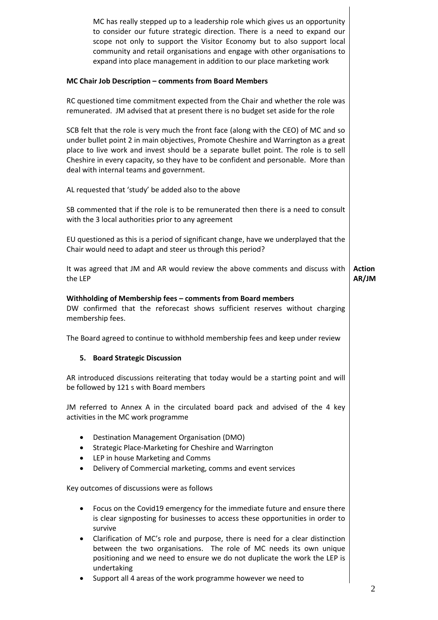MC has really stepped up to a leadership role which gives us an opportunity to consider our future strategic direction. There is a need to expand our scope not only to support the Visitor Economy but to also support local community and retail organisations and engage with other organisations to expand into place management in addition to our place marketing work

# **MC Chair Job Description – comments from Board Members**

RC questioned time commitment expected from the Chair and whether the role was remunerated. JM advised that at present there is no budget set aside for the role

SCB felt that the role is very much the front face (along with the CEO) of MC and so under bullet point 2 in main objectives, Promote Cheshire and Warrington as a great place to live work and invest should be a separate bullet point. The role is to sell Cheshire in every capacity, so they have to be confident and personable. More than deal with internal teams and government.

AL requested that 'study' be added also to the above

SB commented that if the role is to be remunerated then there is a need to consult with the 3 local authorities prior to any agreement

EU questioned as this is a period of significant change, have we underplayed that the Chair would need to adapt and steer us through this period?

It was agreed that JM and AR would review the above comments and discuss with the LEP **Action AR/JM**

## **Withholding of Membership fees – comments from Board members**

DW confirmed that the reforecast shows sufficient reserves without charging membership fees.

The Board agreed to continue to withhold membership fees and keep under review

## **5. Board Strategic Discussion**

AR introduced discussions reiterating that today would be a starting point and will be followed by 121 s with Board members

JM referred to Annex A in the circulated board pack and advised of the 4 key activities in the MC work programme

- Destination Management Organisation (DMO)
- Strategic Place-Marketing for Cheshire and Warrington
- LEP in house Marketing and Comms
- Delivery of Commercial marketing, comms and event services

Key outcomes of discussions were as follows

- Focus on the Covid19 emergency for the immediate future and ensure there is clear signposting for businesses to access these opportunities in order to survive
- Clarification of MC's role and purpose, there is need for a clear distinction between the two organisations. The role of MC needs its own unique positioning and we need to ensure we do not duplicate the work the LEP is undertaking
- Support all 4 areas of the work programme however we need to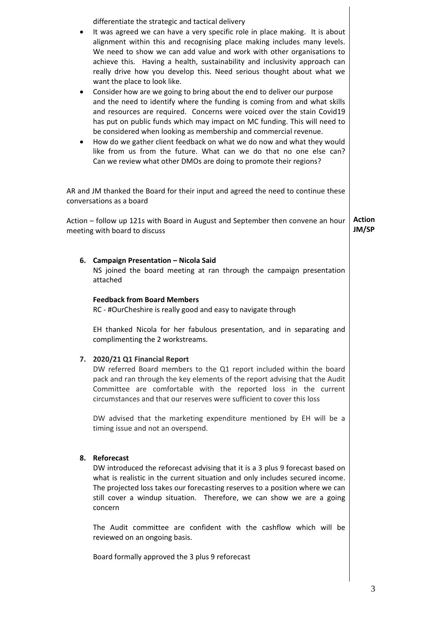| ٠<br>٠ | differentiate the strategic and tactical delivery<br>It was agreed we can have a very specific role in place making. It is about<br>alignment within this and recognising place making includes many levels.<br>We need to show we can add value and work with other organisations to<br>achieve this. Having a health, sustainability and inclusivity approach can<br>really drive how you develop this. Need serious thought about what we<br>want the place to look like.<br>Consider how are we going to bring about the end to deliver our purpose<br>and the need to identify where the funding is coming from and what skills<br>and resources are required. Concerns were voiced over the stain Covid19<br>has put on public funds which may impact on MC funding. This will need to<br>be considered when looking as membership and commercial revenue. |                        |
|--------|------------------------------------------------------------------------------------------------------------------------------------------------------------------------------------------------------------------------------------------------------------------------------------------------------------------------------------------------------------------------------------------------------------------------------------------------------------------------------------------------------------------------------------------------------------------------------------------------------------------------------------------------------------------------------------------------------------------------------------------------------------------------------------------------------------------------------------------------------------------|------------------------|
|        | How do we gather client feedback on what we do now and what they would<br>like from us from the future. What can we do that no one else can?<br>Can we review what other DMOs are doing to promote their regions?                                                                                                                                                                                                                                                                                                                                                                                                                                                                                                                                                                                                                                                |                        |
|        | AR and JM thanked the Board for their input and agreed the need to continue these<br>conversations as a board                                                                                                                                                                                                                                                                                                                                                                                                                                                                                                                                                                                                                                                                                                                                                    |                        |
|        | Action – follow up 121s with Board in August and September then convene an hour<br>meeting with board to discuss                                                                                                                                                                                                                                                                                                                                                                                                                                                                                                                                                                                                                                                                                                                                                 | <b>Action</b><br>JM/SP |
|        | 6. Campaign Presentation - Nicola Said<br>NS joined the board meeting at ran through the campaign presentation<br>attached                                                                                                                                                                                                                                                                                                                                                                                                                                                                                                                                                                                                                                                                                                                                       |                        |
|        | <b>Feedback from Board Members</b><br>RC - #OurCheshire is really good and easy to navigate through                                                                                                                                                                                                                                                                                                                                                                                                                                                                                                                                                                                                                                                                                                                                                              |                        |
|        | EH thanked Nicola for her fabulous presentation, and in separating and<br>complimenting the 2 workstreams.                                                                                                                                                                                                                                                                                                                                                                                                                                                                                                                                                                                                                                                                                                                                                       |                        |
| 7.     | 2020/21 Q1 Financial Report<br>DW referred Board members to the Q1 report included within the board<br>pack and ran through the key elements of the report advising that the Audit<br>Committee are comfortable with the reported loss in the current<br>circumstances and that our reserves were sufficient to cover this loss                                                                                                                                                                                                                                                                                                                                                                                                                                                                                                                                  |                        |
|        | DW advised that the merketing evenentiture mentioned by FU will be                                                                                                                                                                                                                                                                                                                                                                                                                                                                                                                                                                                                                                                                                                                                                                                               |                        |

DW advised that the marketing expenditure mentioned by EH will be a timing issue and not an overspend.

## **8. Reforecast**

DW introduced the reforecast advising that it is a 3 plus 9 forecast based on what is realistic in the current situation and only includes secured income. The projected loss takes our forecasting reserves to a position where we can still cover a windup situation. Therefore, we can show we are a going concern

The Audit committee are confident with the cashflow which will be reviewed on an ongoing basis.

Board formally approved the 3 plus 9 reforecast